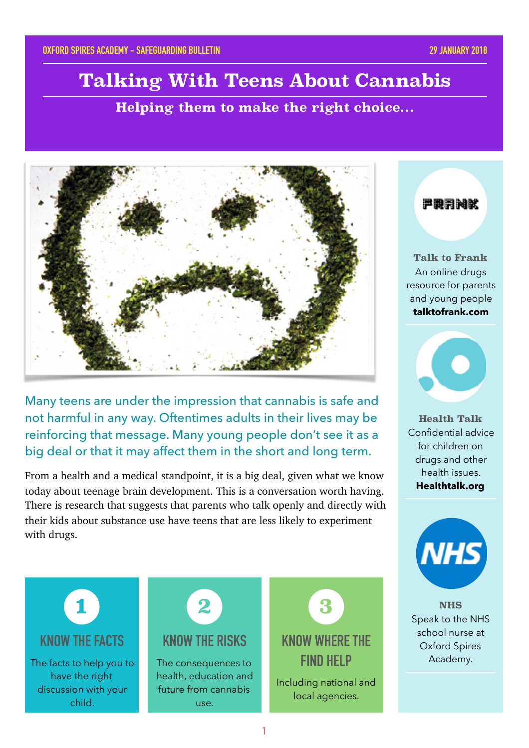# **Talking With Teens About Cannabis**

**Helping them to make the right choice…**



Many teens are under the impression that cannabis is safe and not harmful in any way. Oftentimes adults in their lives may be reinforcing that message. Many young people don't see it as a big deal or that it may affect them in the short and long term.

From a health and a medical standpoint, it is a big deal, given what we know today about teenage brain development. This is a conversation worth having. There is research that suggests that parents who talk openly and directly with their kids about substance use have teens that are less likely to experiment with drugs.

严股身神脉

**Talk to Frank** An online drugs resource for parents and young people **talktofrank.com**



**Health Talk** Confidential advice for children on drugs and other health issues. **Healthtalk.org**



**NHS** Speak to the NHS school nurse at Oxford Spires Academy.



#### **1**